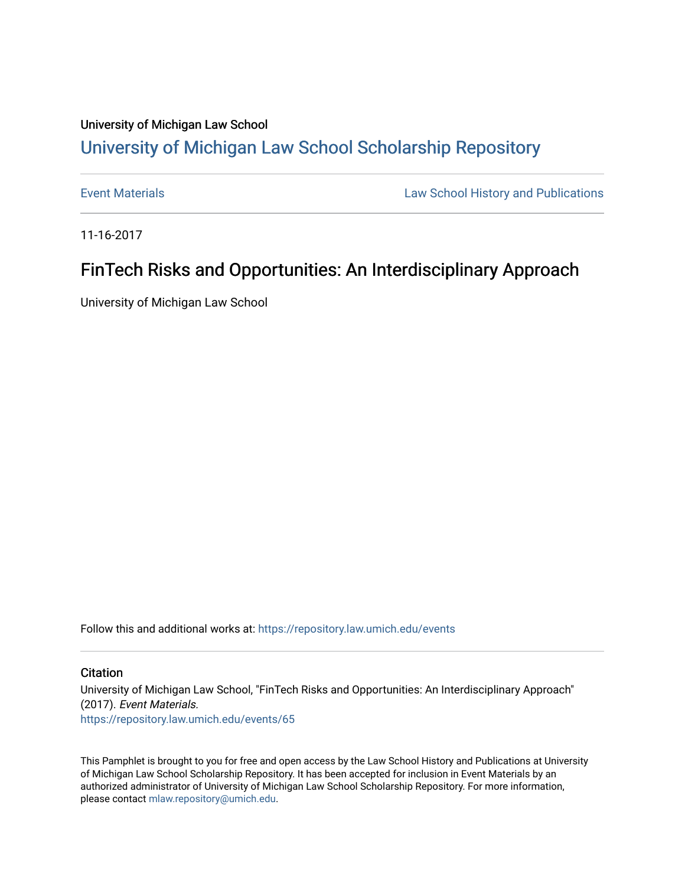## University of Michigan Law School [University of Michigan Law School Scholarship Repository](https://repository.law.umich.edu/)

[Event Materials](https://repository.law.umich.edu/events) **Law School History and Publications** 

11-16-2017

## FinTech Risks and Opportunities: An Interdisciplinary Approach

University of Michigan Law School

Follow this and additional works at: [https://repository.law.umich.edu/events](https://repository.law.umich.edu/events?utm_source=repository.law.umich.edu%2Fevents%2F65&utm_medium=PDF&utm_campaign=PDFCoverPages)

#### **Citation**

University of Michigan Law School, "FinTech Risks and Opportunities: An Interdisciplinary Approach" (2017). Event Materials.

[https://repository.law.umich.edu/events/65](https://repository.law.umich.edu/events/65?utm_source=repository.law.umich.edu%2Fevents%2F65&utm_medium=PDF&utm_campaign=PDFCoverPages) 

This Pamphlet is brought to you for free and open access by the Law School History and Publications at University of Michigan Law School Scholarship Repository. It has been accepted for inclusion in Event Materials by an authorized administrator of University of Michigan Law School Scholarship Repository. For more information, please contact [mlaw.repository@umich.edu.](mailto:mlaw.repository@umich.edu)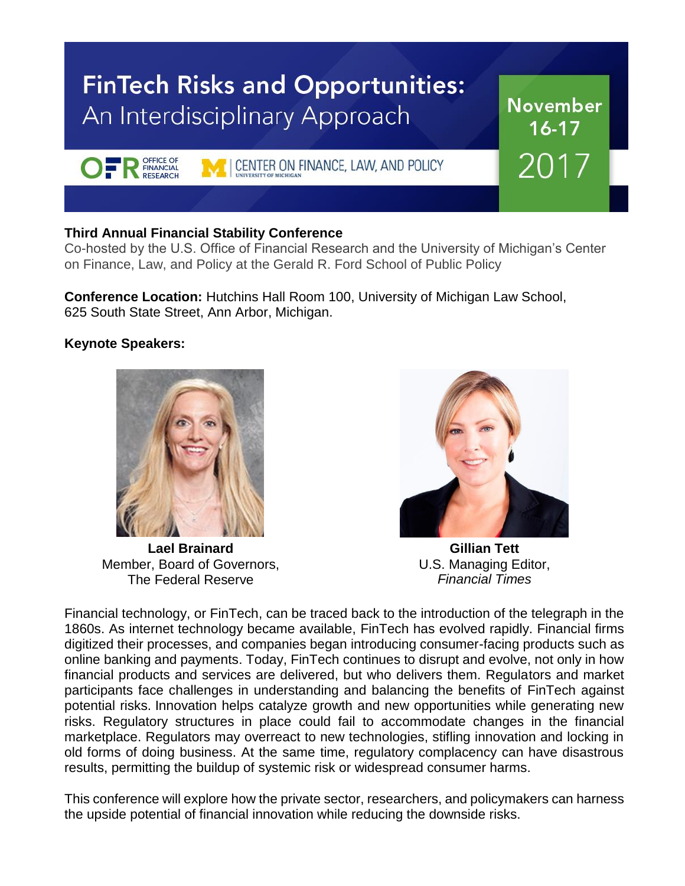# **FinTech Risks and Opportunities:** An Interdisciplinary Approach

CENTER ON FINANCE, LAW, AND POLICY

### **Third Annual Financial Stability Conference**

OFFICE OF

Co-hosted by the U.S. Office of Financial Research and the University of Michigan's Center on Finance, Law, and Policy at the Gerald R. Ford School of Public Policy

**Conference Location:** Hutchins Hall Room 100, University of Michigan Law School, 625 South State Street, Ann Arbor, Michigan.

### **Keynote Speakers:**

**Lael Brainard** Member, Board of Governors, The Federal Reserve



**November** 

 $16 - 17$ 

2017

**Gillian Tett** U.S. Managing Editor, *Financial Times*

Financial technology, or FinTech, can be traced back to the introduction of the telegraph in the 1860s. As internet technology became available, FinTech has evolved rapidly. Financial firms digitized their processes, and companies began introducing consumer-facing products such as online banking and payments. Today, FinTech continues to disrupt and evolve, not only in how financial products and services are delivered, but who delivers them. Regulators and market participants face challenges in understanding and balancing the benefits of FinTech against potential risks. Innovation helps catalyze growth and new opportunities while generating new risks. Regulatory structures in place could fail to accommodate changes in the financial marketplace. Regulators may overreact to new technologies, stifling innovation and locking in old forms of doing business. At the same time, regulatory complacency can have disastrous results, permitting the buildup of systemic risk or widespread consumer harms.

This conference will explore how the private sector, researchers, and policymakers can harness the upside potential of financial innovation while reducing the downside risks.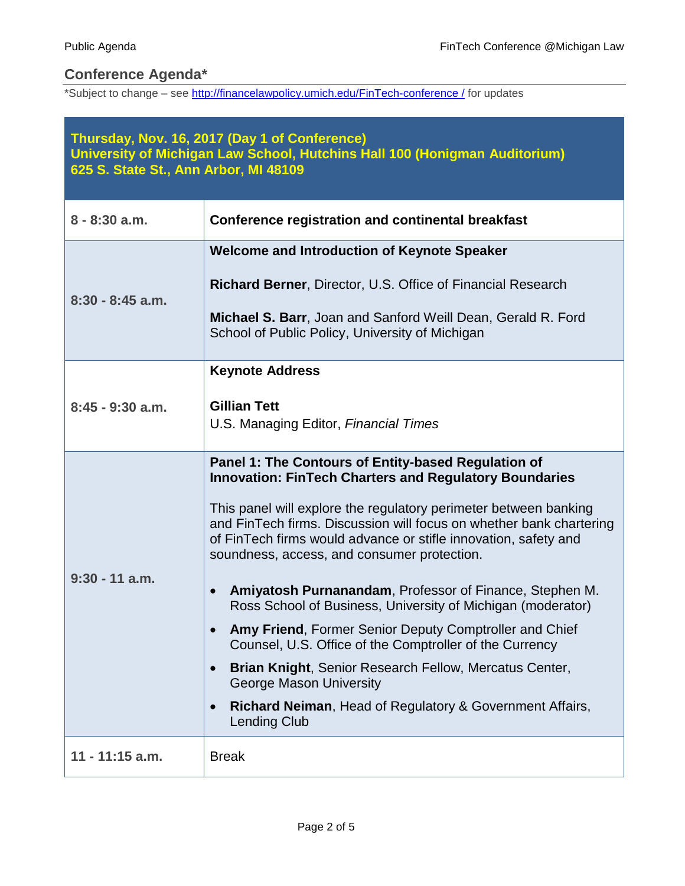### **Conference Agenda\***

\*Subject to change – see http://financelawpolicy.umich.edu/FinTech-conference / for updates

| Thursday, Nov. 16, 2017 (Day 1 of Conference)<br>University of Michigan Law School, Hutchins Hall 100 (Honigman Auditorium)<br>625 S. State St., Ann Arbor, MI 48109 |                                                                                                                                                                                                                                                                                                                                                                                                                                                                                                                                                                                                                                                                                                                                                                                                                                  |  |
|----------------------------------------------------------------------------------------------------------------------------------------------------------------------|----------------------------------------------------------------------------------------------------------------------------------------------------------------------------------------------------------------------------------------------------------------------------------------------------------------------------------------------------------------------------------------------------------------------------------------------------------------------------------------------------------------------------------------------------------------------------------------------------------------------------------------------------------------------------------------------------------------------------------------------------------------------------------------------------------------------------------|--|
| $8 - 8:30$ a.m.                                                                                                                                                      | <b>Conference registration and continental breakfast</b>                                                                                                                                                                                                                                                                                                                                                                                                                                                                                                                                                                                                                                                                                                                                                                         |  |
| $8:30 - 8:45$ a.m.                                                                                                                                                   | <b>Welcome and Introduction of Keynote Speaker</b><br><b>Richard Berner, Director, U.S. Office of Financial Research</b><br>Michael S. Barr, Joan and Sanford Weill Dean, Gerald R. Ford<br>School of Public Policy, University of Michigan                                                                                                                                                                                                                                                                                                                                                                                                                                                                                                                                                                                      |  |
| $8:45 - 9:30$ a.m.                                                                                                                                                   | <b>Keynote Address</b><br><b>Gillian Tett</b><br>U.S. Managing Editor, Financial Times                                                                                                                                                                                                                                                                                                                                                                                                                                                                                                                                                                                                                                                                                                                                           |  |
| $9:30 - 11$ a.m.                                                                                                                                                     | Panel 1: The Contours of Entity-based Regulation of<br><b>Innovation: FinTech Charters and Regulatory Boundaries</b><br>This panel will explore the regulatory perimeter between banking<br>and FinTech firms. Discussion will focus on whether bank chartering<br>of FinTech firms would advance or stifle innovation, safety and<br>soundness, access, and consumer protection.<br>Amiyatosh Purnanandam, Professor of Finance, Stephen M.<br>$\bullet$<br>Ross School of Business, University of Michigan (moderator)<br>Amy Friend, Former Senior Deputy Comptroller and Chief<br>Counsel, U.S. Office of the Comptroller of the Currency<br>Brian Knight, Senior Research Fellow, Mercatus Center,<br>George Mason University<br><b>Richard Neiman, Head of Regulatory &amp; Government Affairs,</b><br><b>Lending Club</b> |  |
| $11 - 11:15$ a.m.                                                                                                                                                    | <b>Break</b>                                                                                                                                                                                                                                                                                                                                                                                                                                                                                                                                                                                                                                                                                                                                                                                                                     |  |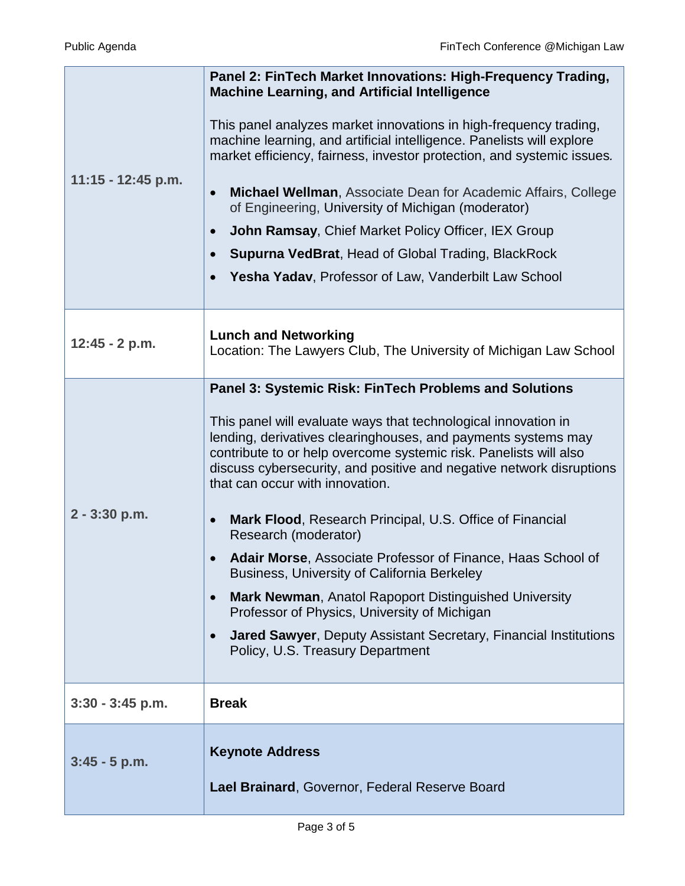Ш

| $11:15 - 12:45$ p.m. | Panel 2: FinTech Market Innovations: High-Frequency Trading,<br><b>Machine Learning, and Artificial Intelligence</b><br>This panel analyzes market innovations in high-frequency trading,<br>machine learning, and artificial intelligence. Panelists will explore<br>market efficiency, fairness, investor protection, and systemic issues.<br>Michael Wellman, Associate Dean for Academic Affairs, College<br>$\bullet$<br>of Engineering, University of Michigan (moderator)<br>John Ramsay, Chief Market Policy Officer, IEX Group<br>$\bullet$<br><b>Supurna VedBrat, Head of Global Trading, BlackRock</b><br>Yesha Yadav, Professor of Law, Vanderbilt Law School                                                                                                                                                                          |
|----------------------|----------------------------------------------------------------------------------------------------------------------------------------------------------------------------------------------------------------------------------------------------------------------------------------------------------------------------------------------------------------------------------------------------------------------------------------------------------------------------------------------------------------------------------------------------------------------------------------------------------------------------------------------------------------------------------------------------------------------------------------------------------------------------------------------------------------------------------------------------|
| $12:45 - 2 p.m.$     | <b>Lunch and Networking</b><br>Location: The Lawyers Club, The University of Michigan Law School                                                                                                                                                                                                                                                                                                                                                                                                                                                                                                                                                                                                                                                                                                                                                   |
| $2 - 3:30$ p.m.      | <b>Panel 3: Systemic Risk: FinTech Problems and Solutions</b><br>This panel will evaluate ways that technological innovation in<br>lending, derivatives clearinghouses, and payments systems may<br>contribute to or help overcome systemic risk. Panelists will also<br>discuss cybersecurity, and positive and negative network disruptions<br>that can occur with innovation.<br>Mark Flood, Research Principal, U.S. Office of Financial<br>Research (moderator)<br>Adair Morse, Associate Professor of Finance, Haas School of<br><b>Business, University of California Berkeley</b><br><b>Mark Newman, Anatol Rapoport Distinguished University</b><br>$\bullet$<br>Professor of Physics, University of Michigan<br><b>Jared Sawyer, Deputy Assistant Secretary, Financial Institutions</b><br>$\bullet$<br>Policy, U.S. Treasury Department |
| $3:30 - 3:45$ p.m.   | <b>Break</b>                                                                                                                                                                                                                                                                                                                                                                                                                                                                                                                                                                                                                                                                                                                                                                                                                                       |
| $3:45 - 5$ p.m.      | <b>Keynote Address</b><br>Lael Brainard, Governor, Federal Reserve Board                                                                                                                                                                                                                                                                                                                                                                                                                                                                                                                                                                                                                                                                                                                                                                           |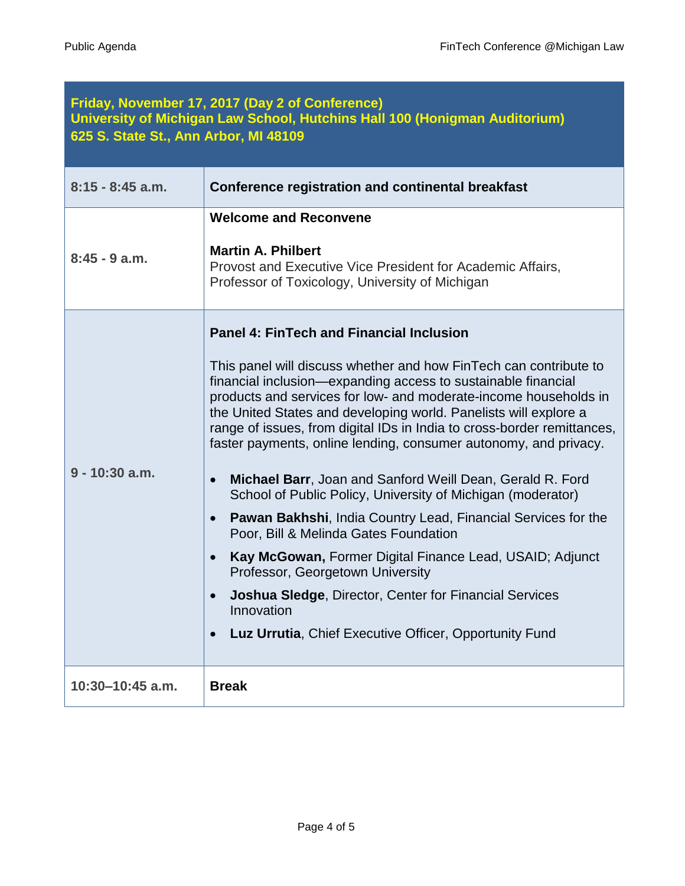| Friday, November 17, 2017 (Day 2 of Conference)<br>University of Michigan Law School, Hutchins Hall 100 (Honigman Auditorium)<br>625 S. State St., Ann Arbor, MI 48109 |                                                                                                                                                                                                                                                                                                                                                                                                                                                                                                                                                                                                                                                                                                                                                                                                                                                                                                                                                                                       |  |
|------------------------------------------------------------------------------------------------------------------------------------------------------------------------|---------------------------------------------------------------------------------------------------------------------------------------------------------------------------------------------------------------------------------------------------------------------------------------------------------------------------------------------------------------------------------------------------------------------------------------------------------------------------------------------------------------------------------------------------------------------------------------------------------------------------------------------------------------------------------------------------------------------------------------------------------------------------------------------------------------------------------------------------------------------------------------------------------------------------------------------------------------------------------------|--|
| $8:15 - 8:45$ a.m.                                                                                                                                                     | <b>Conference registration and continental breakfast</b>                                                                                                                                                                                                                                                                                                                                                                                                                                                                                                                                                                                                                                                                                                                                                                                                                                                                                                                              |  |
| $8:45 - 9$ a.m.                                                                                                                                                        | <b>Welcome and Reconvene</b><br><b>Martin A. Philbert</b><br>Provost and Executive Vice President for Academic Affairs,<br>Professor of Toxicology, University of Michigan                                                                                                                                                                                                                                                                                                                                                                                                                                                                                                                                                                                                                                                                                                                                                                                                            |  |
| $9 - 10:30$ a.m.                                                                                                                                                       | <b>Panel 4: FinTech and Financial Inclusion</b><br>This panel will discuss whether and how FinTech can contribute to<br>financial inclusion—expanding access to sustainable financial<br>products and services for low- and moderate-income households in<br>the United States and developing world. Panelists will explore a<br>range of issues, from digital IDs in India to cross-border remittances,<br>faster payments, online lending, consumer autonomy, and privacy.<br>Michael Barr, Joan and Sanford Weill Dean, Gerald R. Ford<br>$\bullet$<br>School of Public Policy, University of Michigan (moderator)<br><b>Pawan Bakhshi, India Country Lead, Financial Services for the</b><br>$\bullet$<br>Poor, Bill & Melinda Gates Foundation<br>Kay McGowan, Former Digital Finance Lead, USAID; Adjunct<br>Professor, Georgetown University<br>Joshua Sledge, Director, Center for Financial Services<br>Innovation<br>Luz Urrutia, Chief Executive Officer, Opportunity Fund |  |
| 10:30-10:45 a.m.                                                                                                                                                       | <b>Break</b>                                                                                                                                                                                                                                                                                                                                                                                                                                                                                                                                                                                                                                                                                                                                                                                                                                                                                                                                                                          |  |